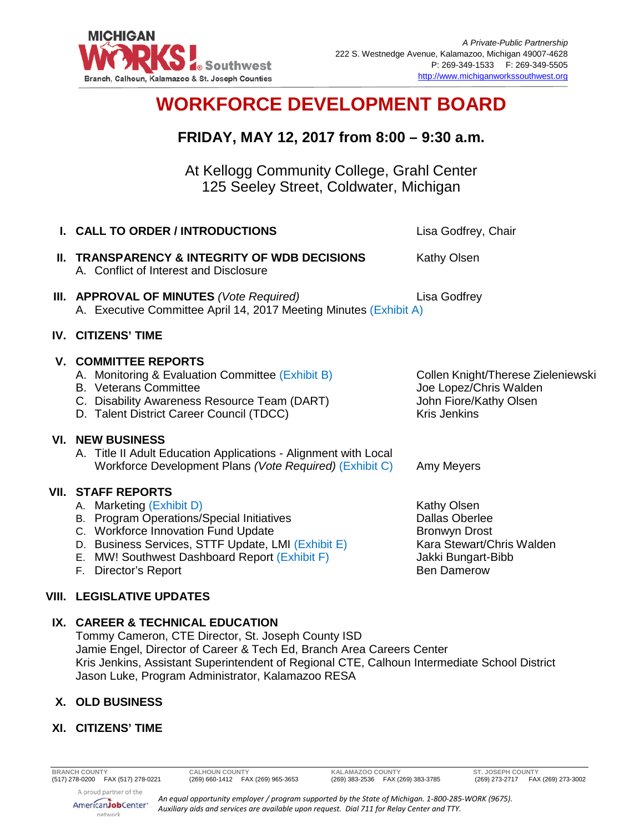

# **WORKFORCE DEVELOPMENT BOARD**

# **FRIDAY, MAY 12, 2017 from 8:00 – 9:30 a.m.**

At Kellogg Community College, Grahl Center 125 Seeley Street, Coldwater, Michigan

| <b>I. CALL TO ORDER / INTRODUCTIONS</b>                                                                                                                                                                                                                                     | Lisa Godfrey, Chair                                                                                                                   |
|-----------------------------------------------------------------------------------------------------------------------------------------------------------------------------------------------------------------------------------------------------------------------------|---------------------------------------------------------------------------------------------------------------------------------------|
| II. TRANSPARENCY & INTEGRITY OF WDB DECISIONS<br>A. Conflict of Interest and Disclosure                                                                                                                                                                                     | Kathy Olsen                                                                                                                           |
| III. APPROVAL OF MINUTES (Vote Required)<br>A. Executive Committee April 14, 2017 Meeting Minutes (Exhibit A)                                                                                                                                                               | Lisa Godfrey                                                                                                                          |
| <b>IV. CITIZENS' TIME</b>                                                                                                                                                                                                                                                   |                                                                                                                                       |
| <b>V. COMMITTEE REPORTS</b><br>A. Monitoring & Evaluation Committee (Exhibit B)<br><b>B.</b> Veterans Committee<br>C. Disability Awareness Resource Team (DART)<br>D. Talent District Career Council (TDCC)                                                                 | Collen Knight/Therese Zieleniewski<br>Joe Lopez/Chris Walden<br>John Fiore/Kathy Olsen<br><b>Kris Jenkins</b>                         |
| <b>VI. NEW BUSINESS</b><br>A. Title II Adult Education Applications - Alignment with Local<br>Workforce Development Plans (Vote Required) (Exhibit C)                                                                                                                       | Amy Meyers                                                                                                                            |
| <b>VII. STAFF REPORTS</b><br>A. Marketing (Exhibit D)<br>B. Program Operations/Special Initiatives<br>C. Workforce Innovation Fund Update<br>D. Business Services, STTF Update, LMI (Exhibit E)<br>E. MW! Southwest Dashboard Report (Exhibit F)<br>Director's Report<br>F. | Kathy Olsen<br><b>Dallas Oberlee</b><br><b>Bronwyn Drost</b><br>Kara Stewart/Chris Walden<br>Jakki Bungart-Bibb<br><b>Ben Damerow</b> |
| <b>VIII. LEGISLATIVE UPDATES</b>                                                                                                                                                                                                                                            |                                                                                                                                       |

# **IX. CAREER & TECHNICAL EDUCATION**

Tommy Cameron, CTE Director, St. Joseph County ISD Jamie Engel, Director of Career & Tech Ed, Branch Area Careers Center Kris Jenkins, Assistant Superintendent of Regional CTE, Calhoun Intermediate School District Jason Luke, Program Administrator, Kalamazoo RESA

## **X. OLD BUSINESS**

#### **XI. CITIZENS' TIME**

(269) 383-2536 FAX (269) 383-3785

**BRANCH COUNTY CALHOUN COUNTY KALAMAZOO COUNTY ST. JOSEPH COUNTY**



*An equal opportunity employer / program supported by the State of Michigan. 1-800-285-WORK (9675). Auxiliary aids and services are available upon request. Dial 711 for Relay Center and TTY.*